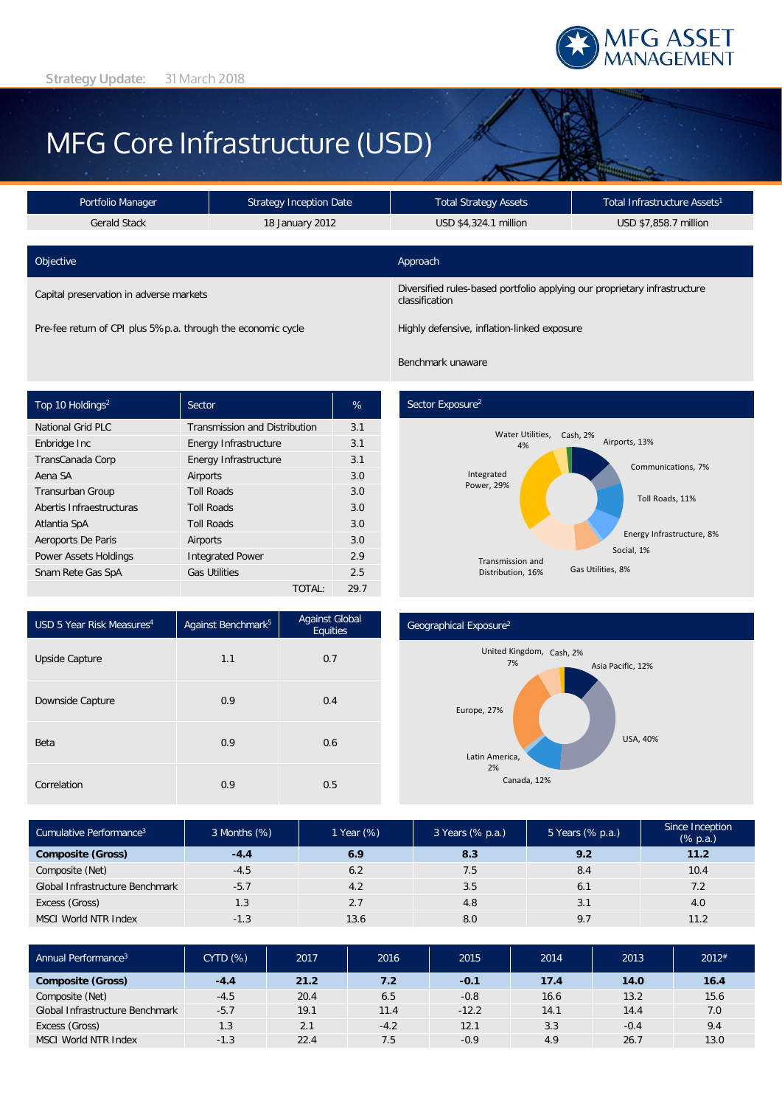

# MFG Core Infrastructure (USD)

| <b>Strategy Inception Date</b><br>Portfolio Manager          |                 | <b>Total Strategy Assets</b>                                                                | Total Infrastructure Assets <sup>1</sup> |  |  |
|--------------------------------------------------------------|-----------------|---------------------------------------------------------------------------------------------|------------------------------------------|--|--|
| <b>Gerald Stack</b>                                          | 18 January 2012 |                                                                                             | USD \$7,858.7 million                    |  |  |
| Objective                                                    |                 | Approach                                                                                    |                                          |  |  |
| Capital preservation in adverse markets                      |                 | Diversified rules-based portfolio applying our proprietary infrastructure<br>classification |                                          |  |  |
| Pre-fee return of CPI plus 5%p.a. through the economic cycle |                 | Highly defensive, inflation-linked exposure                                                 |                                          |  |  |

| Top 10 Holdings <sup>2</sup> | Sector                               | %    |
|------------------------------|--------------------------------------|------|
| National Grid PLC            | <b>Transmission and Distribution</b> | 3.1  |
| Enbridge Inc                 | Energy Infrastructure                | 3.1  |
| TransCanada Corp             | Energy Infrastructure                | 3.1  |
| Aena SA                      | Airports                             | 3.0  |
| <b>Transurban Group</b>      | <b>Toll Roads</b>                    | 3.0  |
| Abertis Infraestructuras     | <b>Toll Roads</b>                    | 3.0  |
| Atlantia SpA                 | <b>Toll Roads</b>                    | 3.0  |
| Aeroports De Paris           | Airports                             | 3.0  |
| <b>Power Assets Holdings</b> | <b>Integrated Power</b>              | 2.9  |
| Snam Rete Gas SpA            | <b>Gas Utilities</b>                 | 2.5  |
|                              | TOTAL:                               | 29.7 |

# Sector Exposure<sup>2</sup>

Benchmark unaware



| USD 5 Year Risk Measures <sup>4</sup> | Against Benchmark <sup>5</sup> | <b>Against Global</b><br>Equities |  |  |
|---------------------------------------|--------------------------------|-----------------------------------|--|--|
| Upside Capture                        | 1.1                            | 0.7                               |  |  |
| Downside Capture                      | 0.9                            | 0.4                               |  |  |
| Beta                                  | 0.9                            | 0.6                               |  |  |
| Correlation                           | 0.9                            | 0.5                               |  |  |

#### Geographical Exposure2



| Cumulative Performance <sup>3</sup> | 3 Months (%) | 1 Year (%) | 3 Years (% p.a.) | 5 Years (% p.a.) | Since Inception<br>$(% \mathbb{R}^2)$ (% p.a.) |
|-------------------------------------|--------------|------------|------------------|------------------|------------------------------------------------|
| <b>Composite (Gross)</b>            | $-4.4$       | 6.9        | 8.3              | 9.2              | 11.2                                           |
| Composite (Net)                     | $-4.5$       | 6.2        | 7.5              | 8.4              | 10.4                                           |
| Global Infrastructure Benchmark     | $-5.7$       | 4.2        | 3.5              | 6.1              | 7.2                                            |
| Excess (Gross)                      | 1.3          | 2.7        | 4.8              | 3.1              | 4.0                                            |
| <b>MSCI World NTR Index</b>         | $-1.3$       | 13.6       | 8.0              | 9.7              | 11.2                                           |

| Annual Performance <sup>3</sup> | CYTD(%) | 2017 | 2016   | 2015    | 2014 | 2013   | $2012$ <sup>#</sup> |
|---------------------------------|---------|------|--------|---------|------|--------|---------------------|
| <b>Composite (Gross)</b>        | $-4.4$  | 21.2 | 7.2    | $-0.1$  | 17.4 | 14.0   | 16.4                |
| Composite (Net)                 | $-4.5$  | 20.4 | 6.5    | $-0.8$  | 16.6 | 13.2   | 15.6                |
| Global Infrastructure Benchmark | $-5.7$  | 19.1 | 11.4   | $-12.2$ | 14.1 | 14.4   | 7.0                 |
| Excess (Gross)                  | 1.3     | 2.1  | $-4.2$ | 12.1    | 3.3  | $-0.4$ | 9.4                 |
| <b>MSCI World NTR Index</b>     | $-1.3$  | 22.4 | 7.5    | $-0.9$  | 4.9  | 26.7   | 13.0                |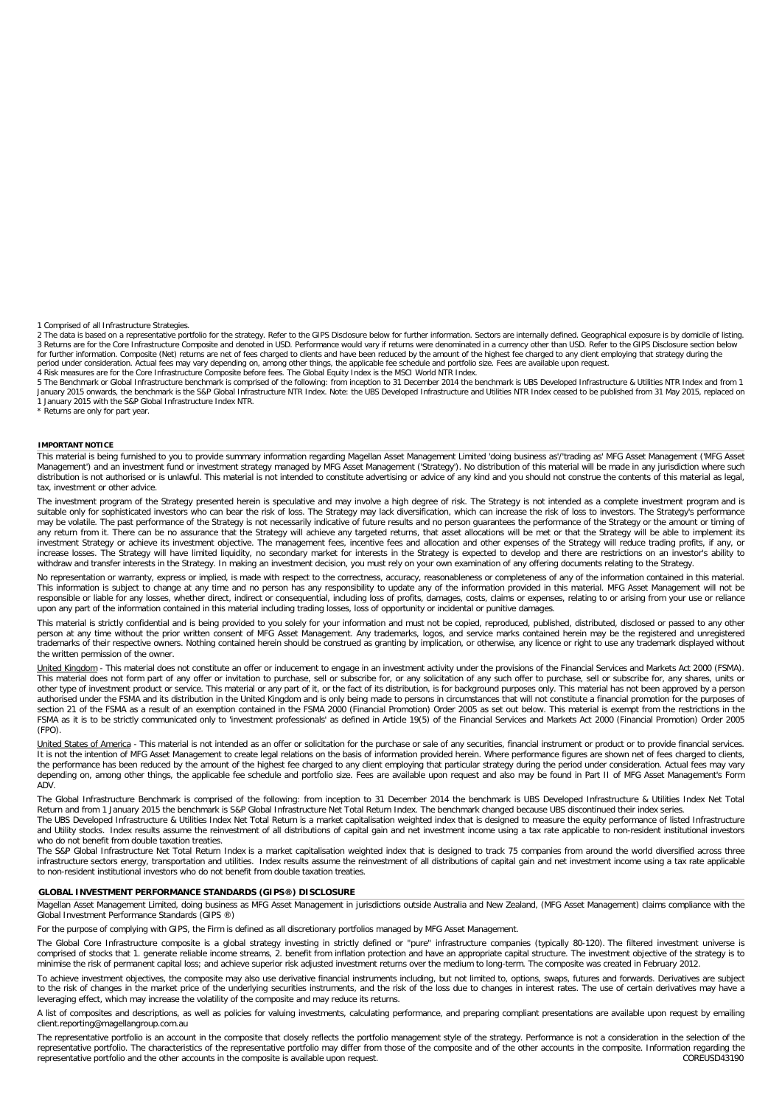1 Comprised of all Infrastructure Strategies.

2 The data is based on a representative portfolio for the strategy. Refer to the GIPS Disclosure below for further information. Sectors are internally defined. Geographical exposure is by domicile of listing. 3 Returns are for the Core Infrastructure Composite and denoted in USD. Performance would vary if returns were denominated in a currency other than USD. Refer to the GIPS Disclosure section below<br>for further information. C period under consideration. Actual fees may vary depending on, among other things, the applicable fee schedule and portfolio size. Fees are available upon request.<br>4 Risk measures are for the Core Infrastructure Composite

5 The Benchmark or Global Infrastructure benchmark is comprised of the following: from inception to 31 December 2014 the benchmark is UBS Developed Infrastructure & Utilities NTR Index and from 1<br>January 2015 onwards, the 1 January 2015 with the S&P Global Infrastructure Index NTR.

Returns are only for part year.

#### **IMPORTANT NOTICE**

This material is being furnished to you to provide summary information regarding Magellan Asset Management Limited 'doing business as'/'trading as' MFG Asset Management ('MFG Asset Management') and an investment fund or investment strategy managed by MFG Asset Management ('Strategy'). No distribution of this material will be made in any jurisdiction where such distribution is not authorised or is unlawful. This material is not intended to constitute advertising or advice of any kind and you should not construe the contents of this material as legal, tax, investment or other advice.

The investment program of the Strategy presented herein is speculative and may involve a high degree of risk. The Strategy is not intended as a complete investment program and is suitable only for sophisticated investors who can bear the risk of loss. The Strategy may lack diversification, which can increase the risk of loss to investors. The Strategy's performance may be volatile. The past performance of the Strategy is not necessarily indicative of future results and no person quarantees the performance of the Strategy or the amount or timing of any return from it. There can be no assurance that the Strategy will achieve any targeted returns, that asset allocations will be met or that the Strategy will be able to implement its<br>investment Strategy or achieve its in increase losses. The Strategy will have limited liquidity, no secondary market for interests in the Strategy is expected to develop and there are restrictions on an investor's ability to withdraw and transfer interests in the Strategy. In making an investment decision, you must rely on your own examination of any offering documents relating to the Strategy.

No representation or warranty, express or implied, is made with respect to the correctness, accuracy, reasonableness or completeness of any of the information contained in this material. This information is subject to change at any time and no person has any responsibility to update any of the information provided in this material. MFG Asset Management will not be<br>responsible or liable for any losses, whet upon any part of the information contained in this material including trading losses, loss of opportunity or incidental or punitive damages.

This material is strictly confidential and is being provided to you solely for your information and must not be copied, reproduced, published, distributed, disclosed or passed to any other person at any time without the prior written consent of MFG Asset Management. Any trademarks, logos, and service marks contained herein may be the registered and unregistered trademarks of their respective owners. Nothing contained herein should be construed as granting by implication, or otherwise, any licence or right to use any trademark displayed without the written permission of the owner.

United Kingdom - This material does not constitute an offer or inducement to engage in an investment activity under the provisions of the Financial Services and Markets Act 2000 (FSMA). This material does not form part of any offer or invitation to purchase, sell or subscribe for, or any solicitation of any such offer to purchase, sell or subscribe for, any shares, units or other type of investment product or service. This material or any part of it, or the fact of its distribution, is for background purposes only. This material has not been approved by a person authorised under the FSMA and its distribution in the United Kingdom and is only being made to persons in circumstances that will not constitute a financial promotion for the purposes of<br>section 21 of the FSMA as a result (FPO).

<u>United States of America</u> - This material is not intended as an offer or solicitation for the purchase or sale of any securities, financial instrument or product or to provide financial services.<br>It is not the intention o the performance has been reduced by the amount of the highest fee charged to any client employing that particular strategy during the period under consideration. Actual fees may vary<br>depending on, among other things, the a ADV.

The Global Infrastructure Benchmark is comprised of the following: from inception to 31 December 2014 the benchmark is UBS Developed Infrastructure & Utilities Index Net Total Return and from 1 January 2015 the benchmark is S&P Global Infrastructure Net Total Return Index. The benchmark changed because UBS discontinued their index series.

The UBS Developed Infrastructure & Utilities Index Net Total Return is a market capitalisation weighted index that is designed to measure the equity performance of listed Infrastructure and Utility stocks. Index results assume the reinvestment of all distributions of capital gain and net investment income using a tax rate applicable to non-resident institutional investors who do not benefit from double taxation treaties.

The S&P Global Infrastructure Net Total Return Index is a market capitalisation weighted index that is designed to track 75 companies from around the world diversified across three infrastructure sectors energy, transportation and utilities. Index results assume the reinvestment of all distributions of capital gain and net investment income using a tax rate applicable<br>to non-resident institutional in

#### **GLOBAL INVESTMENT PERFORMANCE STANDARDS (GIPS®) DISCLOSURE**

Magellan Asset Management Limited, doing business as MFG Asset Management in jurisdictions outside Australia and New Zealand, (MFG Asset Management) claims compliance with the Global Investment Performance Standards (GIPS ®)

For the purpose of complying with GIPS, the Firm is defined as all discretionary portfolios managed by MFG Asset Management.

The Global Core Infrastructure composite is a global strategy investing in strictly defined or "pure" infrastructure companies (typically 80-120). The filtered investment universe is comprised of stocks that 1. generate reliable income streams, 2. benefit from inflation protection and have an appropriate capital structure. The investment objective of the strategy is to minimise the risk of permanent capital loss; and achieve superior risk adjusted investment returns over the medium to long-term. The composite was created in February 2012.

To achieve investment objectives, the composite may also use derivative financial instruments including, but not limited to, options, swaps, futures and forwards. Derivatives are subject<br>to the risk of changes in the marke leveraging effect, which may increase the volatility of the composite and may reduce its returns.

A list of composites and descriptions, as well as policies for valuing investments, calculating performance, and preparing compliant presentations are available upon request by emailing client.reporting@magellangroup.com.au

The representative portfolio is an account in the composite that closely reflects the portfolio management style of the strategy. Performance is not a consideration in the selection of the<br>representative portfolio. The cha representative portfolio and the other accounts in the composite is available upon request.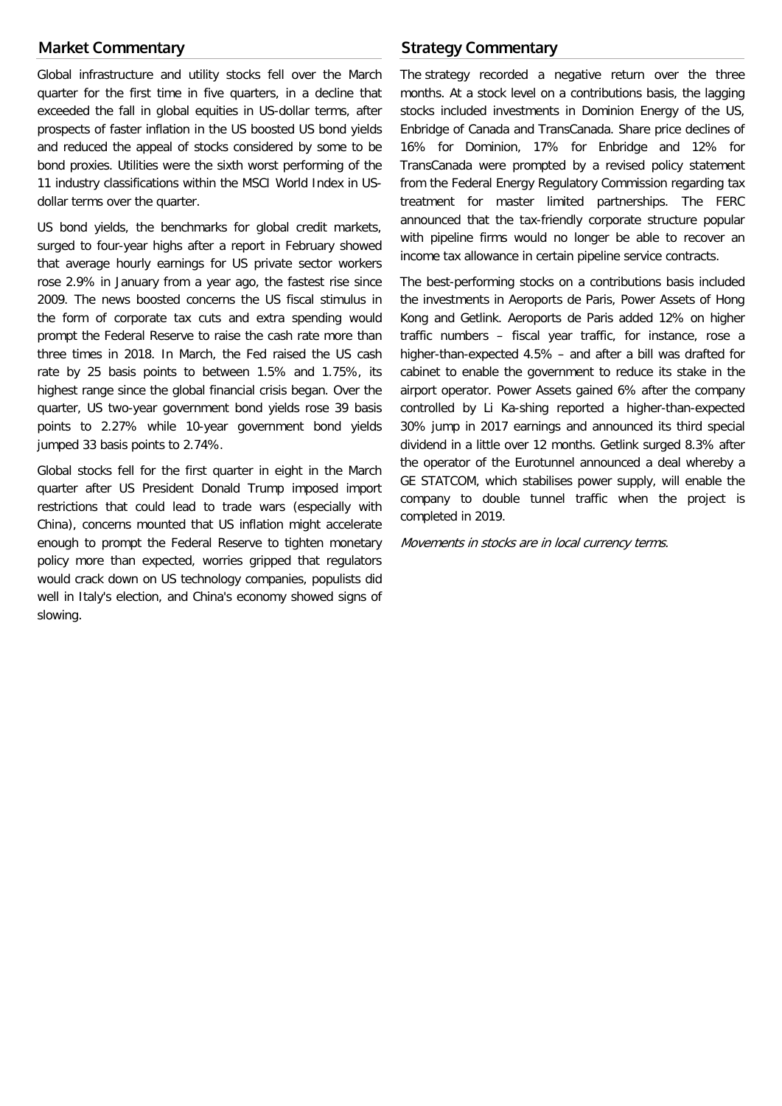## **Market Commentary**

Global infrastructure and utility stocks fell over the March quarter for the first time in five quarters, in a decline that exceeded the fall in global equities in US-dollar terms, after prospects of faster inflation in the US boosted US bond yields and reduced the appeal of stocks considered by some to be bond proxies. Utilities were the sixth worst performing of the 11 industry classifications within the MSCI World Index in USdollar terms over the quarter.

US bond yields, the benchmarks for global credit markets, surged to four-year highs after a report in February showed that average hourly earnings for US private sector workers rose 2.9% in January from a year ago, the fastest rise since 2009. The news boosted concerns the US fiscal stimulus in the form of corporate tax cuts and extra spending would prompt the Federal Reserve to raise the cash rate more than three times in 2018. In March, the Fed raised the US cash rate by 25 basis points to between 1.5% and 1.75%, its highest range since the global financial crisis began. Over the quarter, US two-year government bond yields rose 39 basis points to 2.27% while 10-year government bond yields jumped 33 basis points to 2.74%.

Global stocks fell for the first quarter in eight in the March quarter after US President Donald Trump imposed import restrictions that could lead to trade wars (especially with China), concerns mounted that US inflation might accelerate enough to prompt the Federal Reserve to tighten monetary policy more than expected, worries gripped that regulators would crack down on US technology companies, populists did well in Italy's election, and China's economy showed signs of slowing.

# **Strategy Commentary**

The strategy recorded a negative return over the three months. At a stock level on a contributions basis, the lagging stocks included investments in Dominion Energy of the US, Enbridge of Canada and TransCanada. Share price declines of 16% for Dominion, 17% for Enbridge and 12% for TransCanada were prompted by a revised policy statement from the Federal Energy Regulatory Commission regarding tax treatment for master limited partnerships. The FERC announced that the tax-friendly corporate structure popular with pipeline firms would no longer be able to recover an income tax allowance in certain pipeline service contracts.

The best-performing stocks on a contributions basis included the investments in Aeroports de Paris, Power Assets of Hong Kong and Getlink. Aeroports de Paris added 12% on higher traffic numbers – fiscal year traffic, for instance, rose a higher-than-expected 4.5% – and after a bill was drafted for cabinet to enable the government to reduce its stake in the airport operator. Power Assets gained 6% after the company controlled by Li Ka-shing reported a higher-than-expected 30% jump in 2017 earnings and announced its third special dividend in a little over 12 months. Getlink surged 8.3% after the operator of the Eurotunnel announced a deal whereby a GE STATCOM, which stabilises power supply, will enable the company to double tunnel traffic when the project is completed in 2019.

Movements in stocks are in local currency terms.